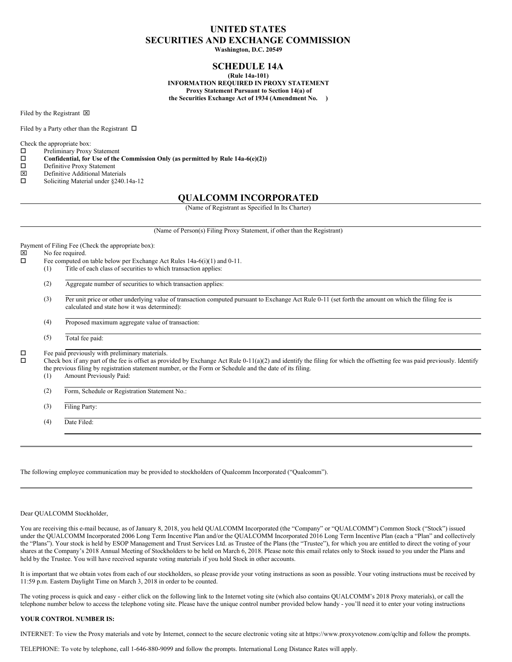# **UNITED STATES SECURITIES AND EXCHANGE COMMISSION**

**Washington, D.C. 20549**

# **SCHEDULE 14A**

**(Rule 14a-101) INFORMATION REQUIRED IN PROXY STATEMENT Proxy Statement Pursuant to Section 14(a) of the Securities Exchange Act of 1934 (Amendment No. )**

Filed by the Registrant  $\boxtimes$ 

Filed by a Party other than the Registrant  $\Box$ 

Check the appropriate box:<br> $\Box$  Preliminary Proxy

- Preliminary Proxy Statement
- $\square$  Confidential, for Use of the Commission Only (as permitted by Rule 14a-6(e)(2))<br> $\square$  Definitive Proxy Statement
- $\Box$  Definitive Proxy Statement<br>  $\nabla$  Definitive Additional Mater
- $\boxtimes$  Definitive Additional Materials<br>  $\square$  Soliciting Material under §240.
- Soliciting Material under §240.14a-12

# **QUALCOMM INCORPORATED**

(Name of Registrant as Specified In Its Charter)

(Name of Person(s) Filing Proxy Statement, if other than the Registrant)

Payment of Filing Fee (Check the appropriate box):

- $\boxtimes$  No fee required.<br> $\Box$  Fee computed or
	- Fee computed on table below per Exchange Act Rules 14a-6(i)(1) and 0-11.
	- (1) Title of each class of securities to which transaction applies:
		- (2) Aggregate number of securities to which transaction applies:
		- (3) Per unit price or other underlying value of transaction computed pursuant to Exchange Act Rule 0-11 (set forth the amount on which the filing fee is calculated and state how it was determined):
		- (4) Proposed maximum aggregate value of transaction:
		- (5) Total fee paid:

 $\square$  Fee paid previously with preliminary materials.<br> $\square$  Check box if any part of the fee is offset as pro-

o Check box if any part of the fee is offset as provided by Exchange Act Rule 0-11(a)(2) and identify the filing for which the offsetting fee was paid previously. Identify the previous filing by registration statement number, or the Form or Schedule and the date of its filing.

- (1) Amount Previously Paid:
- (2) Form, Schedule or Registration Statement No.:
- (3) Filing Party:

(4) Date Filed:

The following employee communication may be provided to stockholders of Qualcomm Incorporated ("Qualcomm").

### Dear QUALCOMM Stockholder,

You are receiving this e-mail because, as of January 8, 2018, you held QUALCOMM Incorporated (the "Company" or "QUALCOMM") Common Stock ("Stock") issued under the QUALCOMM Incorporated 2006 Long Term Incentive Plan and/or the QUALCOMM Incorporated 2016 Long Term Incentive Plan (each a "Plan" and collectively the "Plans"). Your stock is held by ESOP Management and Trust Services Ltd. as Trustee of the Plans (the "Trustee"), for which you are entitled to direct the voting of your shares at the Company's 2018 Annual Meeting of Stockholders to be held on March 6, 2018. Please note this email relates only to Stock issued to you under the Plans and held by the Trustee. You will have received separate voting materials if you hold Stock in other accounts.

It is important that we obtain votes from each of our stockholders, so please provide your voting instructions as soon as possible. Your voting instructions must be received by 11:59 p.m. Eastern Daylight Time on March 3, 2018 in order to be counted.

The voting process is quick and easy - either click on the following link to the Internet voting site (which also contains QUALCOMM's 2018 Proxy materials), or call the telephone number below to access the telephone voting site. Please have the unique control number provided below handy - you'll need it to enter your voting instructions

#### **YOUR CONTROL NUMBER IS:**

INTERNET: To view the Proxy materials and vote by Internet, connect to the secure electronic voting site at https://www.proxyvotenow.com/qcltip and follow the prompts.

TELEPHONE: To vote by telephone, call 1-646-880-9099 and follow the prompts. International Long Distance Rates will apply.